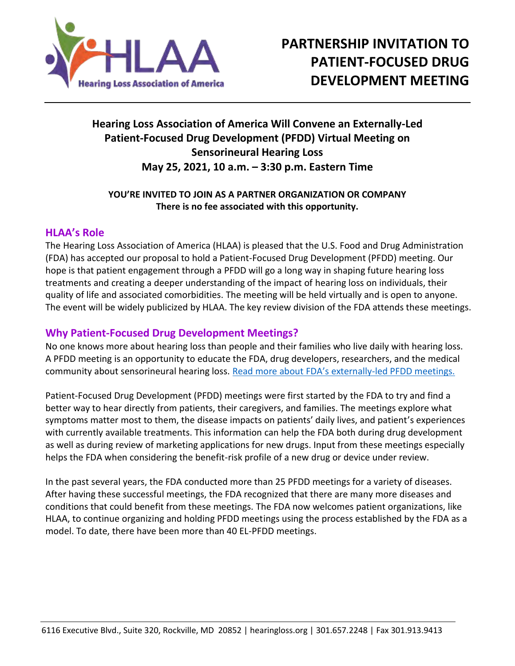

# **Hearing Loss Association of America Will Convene an Externally-Led Patient-Focused Drug Development (PFDD) Virtual Meeting on Sensorineural Hearing Loss May 25, 2021, 10 a.m. – 3:30 p.m. Eastern Time**

## **YOU'RE INVITED TO JOIN AS A PARTNER ORGANIZATION OR COMPANY There is no fee associated with this opportunity.**

# **HLAA's Role**

The Hearing Loss Association of America (HLAA) is pleased that the U.S. Food and Drug Administration (FDA) has accepted our proposal to hold a Patient-Focused Drug Development (PFDD) meeting. Our hope is that patient engagement through a PFDD will go a long way in shaping future hearing loss treatments and creating a deeper understanding of the impact of hearing loss on individuals, their quality of life and associated comorbidities. The meeting will be held virtually and is open to anyone. The event will be widely publicized by HLAA. The key review division of the FDA attends these meetings.

## **Why Patient-Focused Drug Development Meetings?**

No one knows more about hearing loss than people and their families who live daily with hearing loss. A PFDD meeting is an opportunity to educate the FDA, drug developers, researchers, and the medical community about sensorineural hearing loss. [Read more about FDA's externally](https://www.fda.gov/industry/prescription-drug-user-fee-amendments/externally-led-patient-focused-drug-development-meetings)-led PFDD meetings.

Patient-Focused Drug Development (PFDD) meetings were first started by the FDA to try and find a better way to hear directly from patients, their caregivers, and families. The meetings explore what symptoms matter most to them, the disease impacts on patients' daily lives, and patient's experiences with currently available treatments. This information can help the FDA both during drug development as well as during review of marketing applications for new drugs. Input from these meetings especially helps the FDA when considering the benefit-risk profile of a new drug or device under review.

In the past several years, the FDA conducted more than 25 PFDD meetings for a variety of diseases. After having these successful meetings, the FDA recognized that there are many more diseases and conditions that could benefit from these meetings. The FDA now welcomes patient organizations, like HLAA, to continue organizing and holding PFDD meetings using the process established by the FDA as a model. To date, there have been more than 40 EL-PFDD meetings.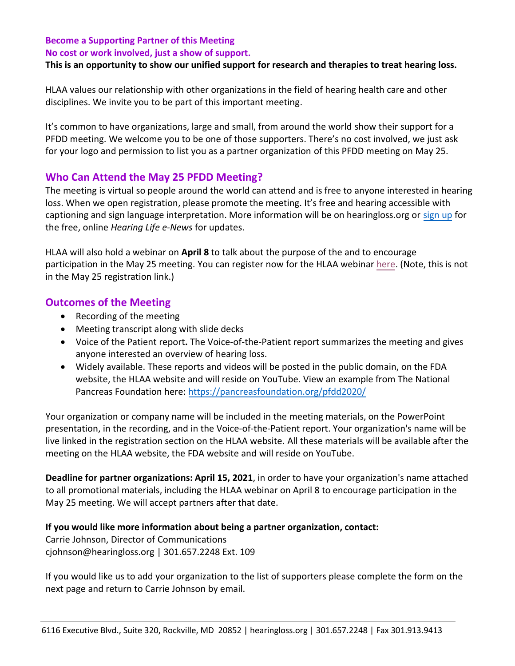#### **Become a Supporting Partner of this Meeting**

**No cost or work involved, just a show of support.** 

#### **This is an opportunity to show our unified support for research and therapies to treat hearing loss.**

HLAA values our relationship with other organizations in the field of hearing health care and other disciplines. We invite you to be part of this important meeting.

It's common to have organizations, large and small, from around the world show their support for a PFDD meeting. We welcome you to be one of those supporters. There's no cost involved, we just ask for your logo and permission to list you as a partner organization of this PFDD meeting on May 25.

## **Who Can Attend the May 25 PFDD Meeting?**

The meeting is virtual so people around the world can attend and is free to anyone interested in hearing loss. When we open registration, please promote the meeting. It's free and hearing accessible with captioning and sign language interpretation. More information will be on hearingloss.org or [sign up](https://www.hearingloss.org/news-media/e-news/) for the free, online *Hearing Life e-News* for updates.

HLAA will also hold a webinar on **April 8** to talk about the purpose of the and to encourage participation in the May 25 meeting. You can register now for the HLAA webinar [here.](https://www.hearingloss.org/event/hlaa-webinar-externally-led-patient/) (Note, this is not in the May 25 registration link.)

#### **Outcomes of the Meeting**

- Recording of the meeting
- Meeting transcript along with slide decks
- Voice of the Patient report**.** The Voice-of-the-Patient report summarizes the meeting and gives anyone interested an overview of hearing loss.
- Widely available. These reports and videos will be posted in the public domain, on the FDA website, the HLAA website and will reside on YouTube. View an example from The National Pancreas Foundation here[: https://pancreasfoundation.org/pfdd2020/](https://pancreasfoundation.org/pfdd2020/)

Your organization or company name will be included in the meeting materials, on the PowerPoint presentation, in the recording, and in the Voice-of-the-Patient report. Your organization's name will be live linked in the registration section on the HLAA website. All these materials will be available after the meeting on the HLAA website, the FDA website and will reside on YouTube.

**Deadline for partner organizations: April 15, 2021**, in order to have your organization's name attached to all promotional materials, including the HLAA webinar on April 8 to encourage participation in the May 25 meeting. We will accept partners after that date.

**If you would like more information about being a partner organization, contact:**

Carrie Johnson, Director of Communications cjohnson@hearingloss.org | 301.657.2248 Ext. 109

If you would like us to add your organization to the list of supporters please complete the form on the next page and return to Carrie Johnson by email.